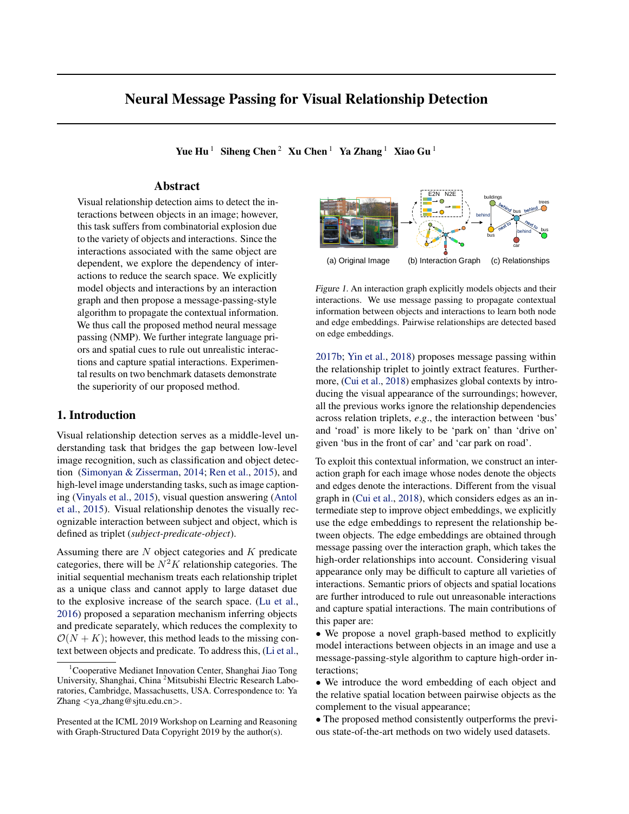# Neural Message Passing for Visual Relationship Detection

Yue Hu<sup>1</sup> Siheng Chen<sup>2</sup> Xu Chen<sup>1</sup> Ya Zhang<sup>1</sup> Xiao Gu<sup>1</sup>

## Abstract

Visual relationship detection aims to detect the interactions between objects in an image; however, this task suffers from combinatorial explosion due to the variety of objects and interactions. Since the interactions associated with the same object are dependent, we explore the dependency of interactions to reduce the search space. We explicitly model objects and interactions by an interaction graph and then propose a message-passing-style algorithm to propagate the contextual information. We thus call the proposed method neural message passing (NMP). We further integrate language priors and spatial cues to rule out unrealistic interactions and capture spatial interactions. Experimental results on two benchmark datasets demonstrate the superiority of our proposed method.

### 1. Introduction

Visual relationship detection serves as a middle-level understanding task that bridges the gap between low-level image recognition, such as classification and object detection [\(Simonyan & Zisserman,](#page-5-0) [2014;](#page-5-0) [Ren et al.,](#page-5-0) [2015\)](#page-5-0), and high-level image understanding tasks, such as image captioning [\(Vinyals et al.,](#page-5-0) [2015\)](#page-5-0), visual question answering [\(Antol](#page-4-0) [et al.,](#page-4-0) [2015\)](#page-4-0). Visual relationship denotes the visually recognizable interaction between subject and object, which is defined as triplet (*subject-predicate-object*).

Assuming there are N object categories and K predicate categories, there will be  $N^2K$  relationship categories. The initial sequential mechanism treats each relationship triplet as a unique class and cannot apply to large dataset due to the explosive increase of the search space. [\(Lu et al.,](#page-4-0) [2016\)](#page-4-0) proposed a separation mechanism inferring objects and predicate separately, which reduces the complexity to  $\mathcal{O}(N + K)$ ; however, this method leads to the missing context between objects and predicate. To address this, [\(Li et al.,](#page-4-0)



Figure 1. An interaction graph explicitly models objects and their interactions. We use message passing to propagate contextual information between objects and interactions to learn both node and edge embeddings. Pairwise relationships are detected based on edge embeddings.

[2017b;](#page-4-0) [Yin et al.,](#page-5-0) [2018\)](#page-5-0) proposes message passing within the relationship triplet to jointly extract features. Furthermore, [\(Cui et al.,](#page-4-0) [2018\)](#page-4-0) emphasizes global contexts by introducing the visual appearance of the surroundings; however, all the previous works ignore the relationship dependencies across relation triplets, *e*.*g*., the interaction between 'bus' and 'road' is more likely to be 'park on' than 'drive on' given 'bus in the front of car' and 'car park on road'.

To exploit this contextual information, we construct an interaction graph for each image whose nodes denote the objects and edges denote the interactions. Different from the visual graph in [\(Cui et al.,](#page-4-0) [2018\)](#page-4-0), which considers edges as an intermediate step to improve object embeddings, we explicitly use the edge embeddings to represent the relationship between objects. The edge embeddings are obtained through message passing over the interaction graph, which takes the high-order relationships into account. Considering visual appearance only may be difficult to capture all varieties of interactions. Semantic priors of objects and spatial locations are further introduced to rule out unreasonable interactions and capture spatial interactions. The main contributions of this paper are:

• We propose a novel graph-based method to explicitly model interactions between objects in an image and use a message-passing-style algorithm to capture high-order interactions;

• We introduce the word embedding of each object and the relative spatial location between pairwise objects as the complement to the visual appearance;

• The proposed method consistently outperforms the previous state-of-the-art methods on two widely used datasets.

<sup>&</sup>lt;sup>1</sup>Cooperative Medianet Innovation Center, Shanghai Jiao Tong University, Shanghai, China <sup>2</sup>Mitsubishi Electric Research Laboratories, Cambridge, Massachusetts, USA. Correspondence to: Ya Zhang <ya zhang@sjtu.edu.cn>.

Presented at the ICML 2019 Workshop on Learning and Reasoning with Graph-Structured Data Copyright 2019 by the author(s).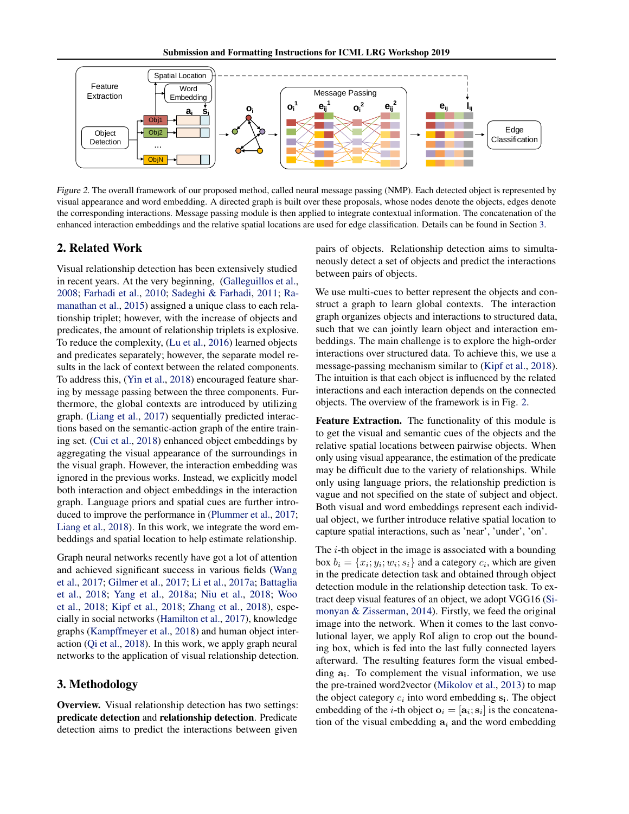Submission and Formatting Instructions for ICML LRG Workshop 2019



Figure 2. The overall framework of our proposed method, called neural message passing (NMP). Each detected object is represented by visual appearance and word embedding. A directed graph is built over these proposals, whose nodes denote the objects, edges denote the corresponding interactions. Message passing module is then applied to integrate contextual information. The concatenation of the enhanced interaction embeddings and the relative spatial locations are used for edge classification. Details can be found in Section 3.

# 2. Related Work

Visual relationship detection has been extensively studied in recent years. At the very beginning, [\(Galleguillos et al.,](#page-4-0) [2008;](#page-4-0) [Farhadi et al.,](#page-4-0) [2010;](#page-4-0) [Sadeghi & Farhadi,](#page-5-0) [2011;](#page-5-0) [Ra](#page-4-0)[manathan et al.,](#page-4-0) [2015\)](#page-4-0) assigned a unique class to each relationship triplet; however, with the increase of objects and predicates, the amount of relationship triplets is explosive. To reduce the complexity, [\(Lu et al.,](#page-4-0) [2016\)](#page-4-0) learned objects and predicates separately; however, the separate model results in the lack of context between the related components. To address this, [\(Yin et al.,](#page-5-0) [2018\)](#page-5-0) encouraged feature sharing by message passing between the three components. Furthermore, the global contexts are introduced by utilizing graph. [\(Liang et al.,](#page-4-0) [2017\)](#page-4-0) sequentially predicted interactions based on the semantic-action graph of the entire training set. [\(Cui et al.,](#page-4-0) [2018\)](#page-4-0) enhanced object embeddings by aggregating the visual appearance of the surroundings in the visual graph. However, the interaction embedding was ignored in the previous works. Instead, we explicitly model both interaction and object embeddings in the interaction graph. Language priors and spatial cues are further introduced to improve the performance in [\(Plummer et al.,](#page-4-0) [2017;](#page-4-0) [Liang et al.,](#page-4-0) [2018\)](#page-4-0). In this work, we integrate the word embeddings and spatial location to help estimate relationship.

Graph neural networks recently have got a lot of attention and achieved significant success in various fields [\(Wang](#page-5-0) [et al.,](#page-5-0) [2017;](#page-5-0) [Gilmer et al.,](#page-4-0) [2017;](#page-4-0) [Li et al.,](#page-4-0) [2017a;](#page-4-0) [Battaglia](#page-4-0) [et al.,](#page-4-0) [2018;](#page-4-0) [Yang et al.,](#page-5-0) [2018a;](#page-5-0) [Niu et al.,](#page-4-0) [2018;](#page-4-0) [Woo](#page-5-0) [et al.,](#page-5-0) [2018;](#page-5-0) [Kipf et al.,](#page-4-0) [2018;](#page-4-0) [Zhang et al.,](#page-5-0) [2018\)](#page-5-0), especially in social networks [\(Hamilton et al.,](#page-4-0) [2017\)](#page-4-0), knowledge graphs [\(Kampffmeyer et al.,](#page-4-0) [2018\)](#page-4-0) and human object interaction [\(Qi et al.,](#page-4-0) [2018\)](#page-4-0). In this work, we apply graph neural networks to the application of visual relationship detection.

## 3. Methodology

Overview. Visual relationship detection has two settings: predicate detection and relationship detection. Predicate detection aims to predict the interactions between given

pairs of objects. Relationship detection aims to simultaneously detect a set of objects and predict the interactions between pairs of objects.

We use multi-cues to better represent the objects and construct a graph to learn global contexts. The interaction graph organizes objects and interactions to structured data, such that we can jointly learn object and interaction embeddings. The main challenge is to explore the high-order interactions over structured data. To achieve this, we use a message-passing mechanism similar to [\(Kipf et al.,](#page-4-0) [2018\)](#page-4-0). The intuition is that each object is influenced by the related interactions and each interaction depends on the connected objects. The overview of the framework is in Fig. 2.

Feature Extraction. The functionality of this module is to get the visual and semantic cues of the objects and the relative spatial locations between pairwise objects. When only using visual appearance, the estimation of the predicate may be difficult due to the variety of relationships. While only using language priors, the relationship prediction is vague and not specified on the state of subject and object. Both visual and word embeddings represent each individual object, we further introduce relative spatial location to capture spatial interactions, such as 'near', 'under', 'on'.

The  $i$ -th object in the image is associated with a bounding box  $b_i = \{x_i; y_i; w_i; s_i\}$  and a category  $c_i$ , which are given in the predicate detection task and obtained through object detection module in the relationship detection task. To extract deep visual features of an object, we adopt VGG16 [\(Si](#page-5-0)[monyan & Zisserman,](#page-5-0) [2014\)](#page-5-0). Firstly, we feed the original image into the network. When it comes to the last convolutional layer, we apply RoI align to crop out the bounding box, which is fed into the last fully connected layers afterward. The resulting features form the visual embedding  $a_i$ . To complement the visual information, we use the pre-trained word2vector [\(Mikolov et al.,](#page-4-0) [2013\)](#page-4-0) to map the object category  $c_i$  into word embedding  $s_i$ . The object embedding of the *i*-th object  $o_i = [a_i; s_i]$  is the concatenation of the visual embedding  $a_i$  and the word embedding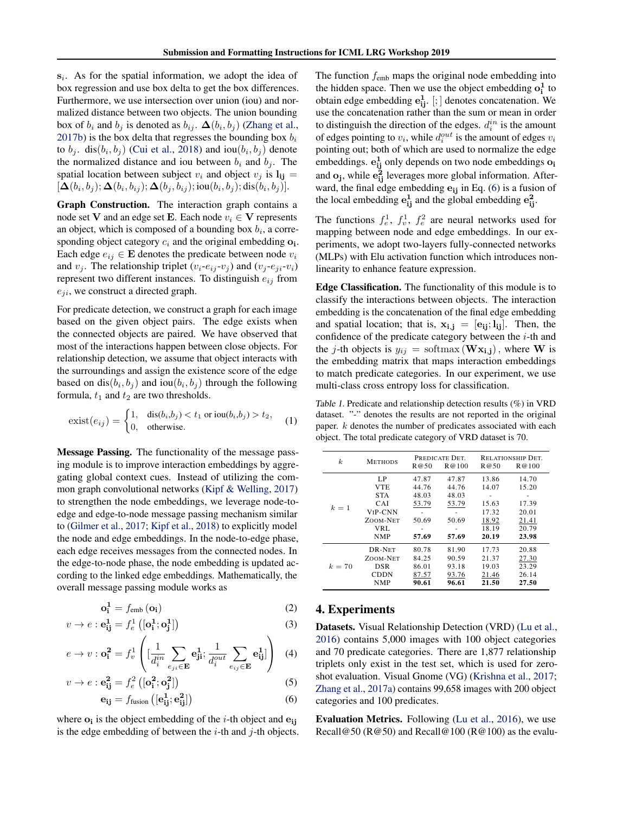<span id="page-2-0"></span> $s_i$ . As for the spatial information, we adopt the idea of box regression and use box delta to get the box differences. Furthermore, we use intersection over union (iou) and normalized distance between two objects. The union bounding box of  $b_i$  and  $b_j$  is denoted as  $b_{ij}$ .  $\Delta(b_i, b_j)$  [\(Zhang et al.,](#page-5-0) [2017b\)](#page-5-0) is the box delta that regresses the bounding box  $b_i$ to  $b_j$ . dis $(b_i, b_j)$  [\(Cui et al.,](#page-4-0) [2018\)](#page-4-0) and iou $(b_i, b_j)$  denote the normalized distance and iou between  $b_i$  and  $b_j$ . The spatial location between subject  $v_i$  and object  $v_j$  is  $\mathbf{l}_{ij} =$  $[\Delta(b_i,b_j); \Delta(b_i,b_{ij}); \Delta(b_j,b_{ij}); \text{iou}(b_i,b_j); \text{dis}(b_i,b_j)].$ 

Graph Construction. The interaction graph contains a node set **V** and an edge set **E**. Each node  $v_i \in V$  represents an object, which is composed of a bounding box  $b_i$ , a corresponding object category  $c_i$  and the original embedding  $o_i$ . Each edge  $e_{ij} \in \mathbf{E}$  denotes the predicate between node  $v_i$ and  $v_j$ . The relationship triplet  $(v_i-e_{ij}-v_j)$  and  $(v_j-e_{ji}-v_i)$ represent two different instances. To distinguish  $e_{ij}$  from  $e_{ji}$ , we construct a directed graph.

For predicate detection, we construct a graph for each image based on the given object pairs. The edge exists when the connected objects are paired. We have observed that most of the interactions happen between close objects. For relationship detection, we assume that object interacts with the surroundings and assign the existence score of the edge based on  $dis(b_i, b_j)$  and  $iou(b_i, b_j)$  through the following formula,  $t_1$  and  $t_2$  are two thresholds.

$$
\text{exist}(e_{ij}) = \begin{cases} 1, & \text{dis}(b_i, b_j) < t_1 \text{ or } \text{iou}(b_i, b_j) > t_2, \\ 0, & \text{otherwise.} \end{cases} \tag{1}
$$

Message Passing. The functionality of the message passing module is to improve interaction embeddings by aggregating global context cues. Instead of utilizing the common graph convolutional networks [\(Kipf & Welling,](#page-4-0) [2017\)](#page-4-0) to strengthen the node embeddings, we leverage node-toedge and edge-to-node message passing mechanism similar to [\(Gilmer et al.,](#page-4-0) [2017;](#page-4-0) [Kipf et al.,](#page-4-0) [2018\)](#page-4-0) to explicitly model the node and edge embeddings. In the node-to-edge phase, each edge receives messages from the connected nodes. In the edge-to-node phase, the node embedding is updated according to the linked edge embeddings. Mathematically, the overall message passing module works as

$$
\mathbf{o_i^1} = f_{\text{emb}}\left(\mathbf{o_i}\right) \tag{2}
$$

$$
v \to e : \mathbf{e}_{\mathbf{i}\mathbf{j}}^1 = f_e^1 \left( [\mathbf{o}_\mathbf{i}^1; \mathbf{o}_\mathbf{j}^1] \right)
$$
 (3)

$$
e \to v : \mathbf{o}_i^2 = f_v^1 \left( [\frac{1}{d_i^{in}} \sum_{e_{ji} \in \mathbf{E}} \mathbf{e}_{ji}^1; \frac{1}{d_i^{out}} \sum_{e_{ij} \in \mathbf{E}} \mathbf{e}_{ij}^1] \right) (4)
$$

$$
v \to e : \mathbf{e}_{\mathbf{ij}}^2 = f_e^2 \left( [\mathbf{o}_{\mathbf{i}}^2; \mathbf{o}_{\mathbf{j}}^2] \right)
$$
 (5)

$$
\mathbf{e}_{ij} = f_{fusion} \left( [\mathbf{e}_{ij}^1; \mathbf{e}_{ij}^2] \right) \tag{6}
$$

where  $o_i$  is the object embedding of the *i*-th object and  $e_{ij}$ is the edge embedding of between the  $i$ -th and  $j$ -th objects. The function  $f_{\text{emb}}$  maps the original node embedding into the hidden space. Then we use the object embedding  $o_i^1$  to obtain edge embedding  $e_{ij}^1$ . [; ] denotes concatenation. We use the concatenation rather than the sum or mean in order to distinguish the direction of the edges.  $d_i^{in}$  is the amount of edges pointing to  $v_i$ , while  $d_i^{out}$  is the amount of edges  $v_i$ pointing out; both of which are used to normalize the edge embeddings.  $e_{ij}^1$  only depends on two node embeddings  $o_i$ and  $o_j$ , while  $e_{ij}^2$  leverages more global information. Afterward, the final edge embedding  $e_{ij}$  in Eq. (6) is a fusion of the local embedding  $e_{ij}^1$  and the global embedding  $e_{ij}^2$ .

The functions  $f_e^1$ ,  $f_v^1$ ,  $f_e^2$  are neural networks used for mapping between node and edge embeddings. In our experiments, we adopt two-layers fully-connected networks (MLPs) with Elu activation function which introduces nonlinearity to enhance feature expression.

Edge Classification. The functionality of this module is to classify the interactions between objects. The interaction embedding is the concatenation of the final edge embedding and spatial location; that is,  $x_{i,j} = [\mathbf{e}_{ii}; \mathbf{l}_{ii}]$ . Then, the confidence of the predicate category between the  $i$ -th and the j-th objects is  $y_{ij} = \text{softmax}(\mathbf{W} \mathbf{x_{i,j}})$ , where **W** is the embedding matrix that maps interaction embeddings to match predicate categories. In our experiment, we use multi-class cross entropy loss for classification.

Table 1. Predicate and relationship detection results (%) in VRD dataset. "-" denotes the results are not reported in the original paper. k denotes the number of predicates associated with each object. The total predicate category of VRD dataset is 70.

|                  |                      |       | PREDICATE DET. | <b>RELATIONSHIP DET.</b> |       |
|------------------|----------------------|-------|----------------|--------------------------|-------|
| $\boldsymbol{k}$ | <b>METHODS</b>       | R@50  | R@100          | R@50                     | R@100 |
|                  | LP                   | 47.87 | 47.87          | 13.86                    | 14.70 |
|                  | <b>VTE</b>           | 44.76 | 44.76          | 14.07                    | 15.20 |
|                  | <b>STA</b>           | 48.03 | 48.03          |                          |       |
| $k=1$            | CAI                  | 53.79 | 53.79          | 15.63                    | 17.39 |
|                  | V <sub>I</sub> P-CNN |       | ۰              | 17.32                    | 20.01 |
|                  | ZOOM-NET             | 50.69 | 50.69          | 18.92                    | 21.41 |
|                  | VRL                  |       |                | 18.19                    | 20.79 |
|                  | <b>NMP</b>           | 57.69 | 57.69          | 20.19                    | 23.98 |
|                  | DR-NET               | 80.78 | 81.90          | 17.73                    | 20.88 |
|                  | ZOOM-NET             | 84.25 | 90.59          | 21.37                    | 27.30 |
| $k = 70$         | <b>DSR</b>           | 86.01 | 93.18          | 19.03                    | 23.29 |
|                  | <b>CDDN</b>          | 87.57 | 93.76          | 21.46                    | 26.14 |
|                  | <b>NMP</b>           | 90.61 | 96.61          | 21.50                    | 27.50 |

#### 4. Experiments

Datasets. Visual Relationship Detection (VRD) [\(Lu et al.,](#page-4-0) [2016\)](#page-4-0) contains 5,000 images with 100 object categories and 70 predicate categories. There are 1,877 relationship triplets only exist in the test set, which is used for zeroshot evaluation. Visual Gnome (VG) [\(Krishna et al.,](#page-4-0) [2017;](#page-4-0) [Zhang et al.,](#page-5-0) [2017a\)](#page-5-0) contains 99,658 images with 200 object categories and 100 predicates.

Evaluation Metrics. Following [\(Lu et al.,](#page-4-0) [2016\)](#page-4-0), we use Recall@50 ( $R@50$ ) and Recall@100 ( $R@100$ ) as the evalu-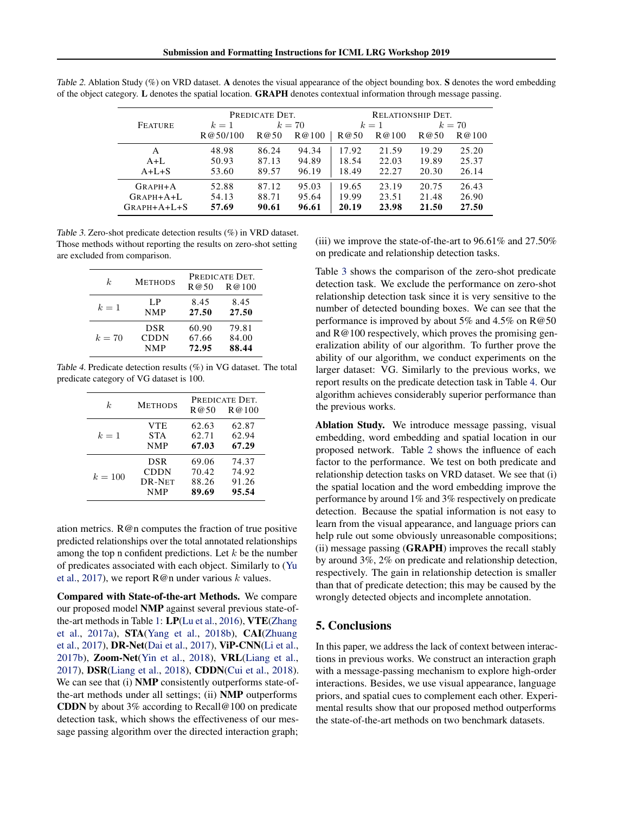|                | PREDICATE DET. |       | <b>RELATIONSHIP DET.</b> |       |       |       |        |
|----------------|----------------|-------|--------------------------|-------|-------|-------|--------|
| <b>FEATURE</b> | $k=1$          |       | $k=70$                   |       | $k=1$ |       | $k=70$ |
|                | R@50/100       | R@50  | R@100                    | R@50  | R@100 | R@50  | R@100  |
| A              | 48.98          | 86.24 | 94.34                    | 17.92 | 21.59 | 19.29 | 25.20  |
| $A+L$          | 50.93          | 87.13 | 94.89                    | 18.54 | 22.03 | 19.89 | 25.37  |
| $A+L+S$        | 53.60          | 89.57 | 96.19                    | 18.49 | 22.27 | 20.30 | 26.14  |
| $GRAPH+A$      | 52.88          | 87.12 | 95.03                    | 19.65 | 23.19 | 20.75 | 26.43  |
| GRAPH+A+L      | 54.13          | 88.71 | 95.64                    | 19.99 | 23.51 | 21.48 | 26.90  |
| $GRAPH+A+L+S$  | 57.69          | 90.61 | 96.61                    | 20.19 | 23.98 | 21.50 | 27.50  |

Table 2. Ablation Study (%) on VRD dataset. A denotes the visual appearance of the object bounding box. S denotes the word embedding of the object category. L denotes the spatial location. GRAPH denotes contextual information through message passing.

Table 3. Zero-shot predicate detection results (%) in VRD dataset. Those methods without reporting the results on zero-shot setting are excluded from comparison.

| k.     | <b>METHODS</b> | PREDICATE DET.<br>R@50<br>R@100 |       |  |
|--------|----------------|---------------------------------|-------|--|
| $k=1$  | L.P            | 8.45                            | 8.45  |  |
|        | <b>NMP</b>     | 27.50                           | 27.50 |  |
| $k=70$ | <b>DSR</b>     | 60.90                           | 79.81 |  |
|        | CDDN           | 67.66                           | 84.00 |  |
|        | <b>NMP</b>     | 72.95                           | 88.44 |  |

Table 4. Predicate detection results (%) in VG dataset. The total predicate category of VG dataset is 100.

| k.        | <b>METHODS</b> | PREDICATE DET.<br>R@50<br>R@100 |       |  |
|-----------|----------------|---------------------------------|-------|--|
| $k=1$     | VTE.           | 62.63                           | 62.87 |  |
|           | <b>STA</b>     | 62.71                           | 62.94 |  |
|           | <b>NMP</b>     | 67.03                           | 67.29 |  |
| $k = 100$ | <b>DSR</b>     | 69.06                           | 74.37 |  |
|           | CDDN           | 70.42                           | 74.92 |  |
|           | DR-NET         | 88.26                           | 91.26 |  |
|           | <b>NMP</b>     | 89.69                           | 95.54 |  |

ation metrics. R@n computes the fraction of true positive predicted relationships over the total annotated relationships among the top n confident predictions. Let  $k$  be the number of predicates associated with each object. Similarly to [\(Yu](#page-5-0) [et al.,](#page-5-0) [2017\)](#page-5-0), we report  $\mathbb{R}^{\omega}$  under various k values.

Compared with State-of-the-art Methods. We compare our proposed model NMP against several previous state-ofthe-art methods in Table [1:](#page-2-0) LP[\(Lu et al.,](#page-4-0) [2016\)](#page-4-0), VTE[\(Zhang](#page-5-0) [et al.,](#page-5-0) [2017a\)](#page-5-0), STA[\(Yang et al.,](#page-5-0) [2018b\)](#page-5-0), CAI[\(Zhuang](#page-5-0) [et al.,](#page-5-0) [2017\)](#page-5-0), DR-Net[\(Dai et al.,](#page-4-0) [2017\)](#page-4-0), ViP-CNN[\(Li et al.,](#page-4-0) [2017b\)](#page-4-0), Zoom-Net[\(Yin et al.,](#page-5-0) [2018\)](#page-5-0), VRL[\(Liang et al.,](#page-4-0) [2017\)](#page-4-0), DSR[\(Liang et al.,](#page-4-0) [2018\)](#page-4-0), CDDN[\(Cui et al.,](#page-4-0) [2018\)](#page-4-0). We can see that (i) **NMP** consistently outperforms state-ofthe-art methods under all settings; (ii) NMP outperforms CDDN by about 3% according to Recall@100 on predicate detection task, which shows the effectiveness of our message passing algorithm over the directed interaction graph; (iii) we improve the state-of-the-art to 96.61% and 27.50% on predicate and relationship detection tasks.

Table 3 shows the comparison of the zero-shot predicate detection task. We exclude the performance on zero-shot relationship detection task since it is very sensitive to the number of detected bounding boxes. We can see that the performance is improved by about 5% and 4.5% on R@50 and R@100 respectively, which proves the promising generalization ability of our algorithm. To further prove the ability of our algorithm, we conduct experiments on the larger dataset: VG. Similarly to the previous works, we report results on the predicate detection task in Table 4. Our algorithm achieves considerably superior performance than the previous works.

Ablation Study. We introduce message passing, visual embedding, word embedding and spatial location in our proposed network. Table 2 shows the influence of each factor to the performance. We test on both predicate and relationship detection tasks on VRD dataset. We see that (i) the spatial location and the word embedding improve the performance by around 1% and 3% respectively on predicate detection. Because the spatial information is not easy to learn from the visual appearance, and language priors can help rule out some obviously unreasonable compositions; (ii) message passing (GRAPH) improves the recall stably by around 3%, 2% on predicate and relationship detection, respectively. The gain in relationship detection is smaller than that of predicate detection; this may be caused by the wrongly detected objects and incomplete annotation.

## 5. Conclusions

In this paper, we address the lack of context between interactions in previous works. We construct an interaction graph with a message-passing mechanism to explore high-order interactions. Besides, we use visual appearance, language priors, and spatial cues to complement each other. Experimental results show that our proposed method outperforms the state-of-the-art methods on two benchmark datasets.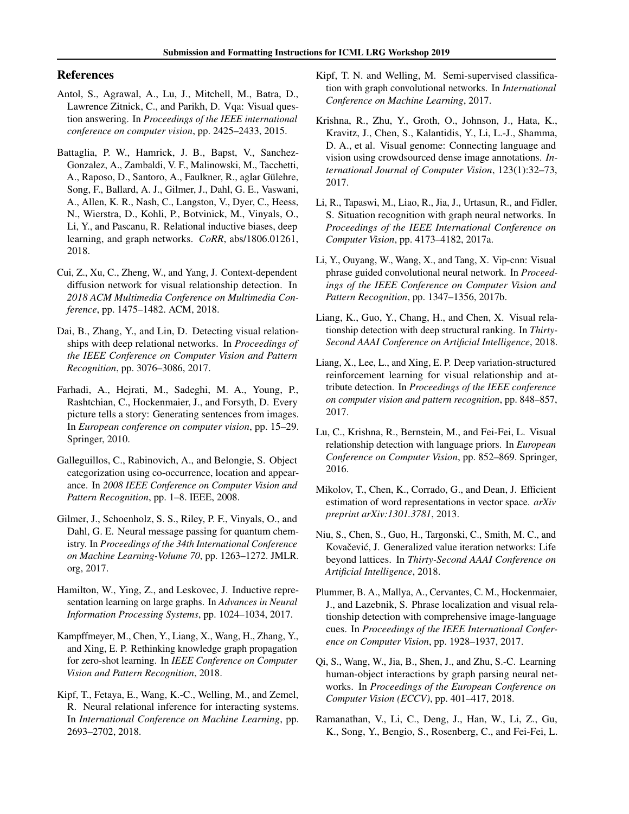### <span id="page-4-0"></span>References

- Antol, S., Agrawal, A., Lu, J., Mitchell, M., Batra, D., Lawrence Zitnick, C., and Parikh, D. Vqa: Visual question answering. In *Proceedings of the IEEE international conference on computer vision*, pp. 2425–2433, 2015.
- Battaglia, P. W., Hamrick, J. B., Bapst, V., Sanchez-Gonzalez, A., Zambaldi, V. F., Malinowski, M., Tacchetti, A., Raposo, D., Santoro, A., Faulkner, R., aglar Gülehre, Song, F., Ballard, A. J., Gilmer, J., Dahl, G. E., Vaswani, A., Allen, K. R., Nash, C., Langston, V., Dyer, C., Heess, N., Wierstra, D., Kohli, P., Botvinick, M., Vinyals, O., Li, Y., and Pascanu, R. Relational inductive biases, deep learning, and graph networks. *CoRR*, abs/1806.01261, 2018.
- Cui, Z., Xu, C., Zheng, W., and Yang, J. Context-dependent diffusion network for visual relationship detection. In *2018 ACM Multimedia Conference on Multimedia Conference*, pp. 1475–1482. ACM, 2018.
- Dai, B., Zhang, Y., and Lin, D. Detecting visual relationships with deep relational networks. In *Proceedings of the IEEE Conference on Computer Vision and Pattern Recognition*, pp. 3076–3086, 2017.
- Farhadi, A., Hejrati, M., Sadeghi, M. A., Young, P., Rashtchian, C., Hockenmaier, J., and Forsyth, D. Every picture tells a story: Generating sentences from images. In *European conference on computer vision*, pp. 15–29. Springer, 2010.
- Galleguillos, C., Rabinovich, A., and Belongie, S. Object categorization using co-occurrence, location and appearance. In *2008 IEEE Conference on Computer Vision and Pattern Recognition*, pp. 1–8. IEEE, 2008.
- Gilmer, J., Schoenholz, S. S., Riley, P. F., Vinyals, O., and Dahl, G. E. Neural message passing for quantum chemistry. In *Proceedings of the 34th International Conference on Machine Learning-Volume 70*, pp. 1263–1272. JMLR. org, 2017.
- Hamilton, W., Ying, Z., and Leskovec, J. Inductive representation learning on large graphs. In *Advances in Neural Information Processing Systems*, pp. 1024–1034, 2017.
- Kampffmeyer, M., Chen, Y., Liang, X., Wang, H., Zhang, Y., and Xing, E. P. Rethinking knowledge graph propagation for zero-shot learning. In *IEEE Conference on Computer Vision and Pattern Recognition*, 2018.
- Kipf, T., Fetaya, E., Wang, K.-C., Welling, M., and Zemel, R. Neural relational inference for interacting systems. In *International Conference on Machine Learning*, pp. 2693–2702, 2018.
- Kipf, T. N. and Welling, M. Semi-supervised classification with graph convolutional networks. In *International Conference on Machine Learning*, 2017.
- Krishna, R., Zhu, Y., Groth, O., Johnson, J., Hata, K., Kravitz, J., Chen, S., Kalantidis, Y., Li, L.-J., Shamma, D. A., et al. Visual genome: Connecting language and vision using crowdsourced dense image annotations. *International Journal of Computer Vision*, 123(1):32–73, 2017.
- Li, R., Tapaswi, M., Liao, R., Jia, J., Urtasun, R., and Fidler, S. Situation recognition with graph neural networks. In *Proceedings of the IEEE International Conference on Computer Vision*, pp. 4173–4182, 2017a.
- Li, Y., Ouyang, W., Wang, X., and Tang, X. Vip-cnn: Visual phrase guided convolutional neural network. In *Proceedings of the IEEE Conference on Computer Vision and Pattern Recognition*, pp. 1347–1356, 2017b.
- Liang, K., Guo, Y., Chang, H., and Chen, X. Visual relationship detection with deep structural ranking. In *Thirty-Second AAAI Conference on Artificial Intelligence*, 2018.
- Liang, X., Lee, L., and Xing, E. P. Deep variation-structured reinforcement learning for visual relationship and attribute detection. In *Proceedings of the IEEE conference on computer vision and pattern recognition*, pp. 848–857, 2017.
- Lu, C., Krishna, R., Bernstein, M., and Fei-Fei, L. Visual relationship detection with language priors. In *European Conference on Computer Vision*, pp. 852–869. Springer, 2016.
- Mikolov, T., Chen, K., Corrado, G., and Dean, J. Efficient estimation of word representations in vector space. *arXiv preprint arXiv:1301.3781*, 2013.
- Niu, S., Chen, S., Guo, H., Targonski, C., Smith, M. C., and Kovačević, J. Generalized value iteration networks: Life beyond lattices. In *Thirty-Second AAAI Conference on Artificial Intelligence*, 2018.
- Plummer, B. A., Mallya, A., Cervantes, C. M., Hockenmaier, J., and Lazebnik, S. Phrase localization and visual relationship detection with comprehensive image-language cues. In *Proceedings of the IEEE International Conference on Computer Vision*, pp. 1928–1937, 2017.
- Qi, S., Wang, W., Jia, B., Shen, J., and Zhu, S.-C. Learning human-object interactions by graph parsing neural networks. In *Proceedings of the European Conference on Computer Vision (ECCV)*, pp. 401–417, 2018.
- Ramanathan, V., Li, C., Deng, J., Han, W., Li, Z., Gu, K., Song, Y., Bengio, S., Rosenberg, C., and Fei-Fei, L.